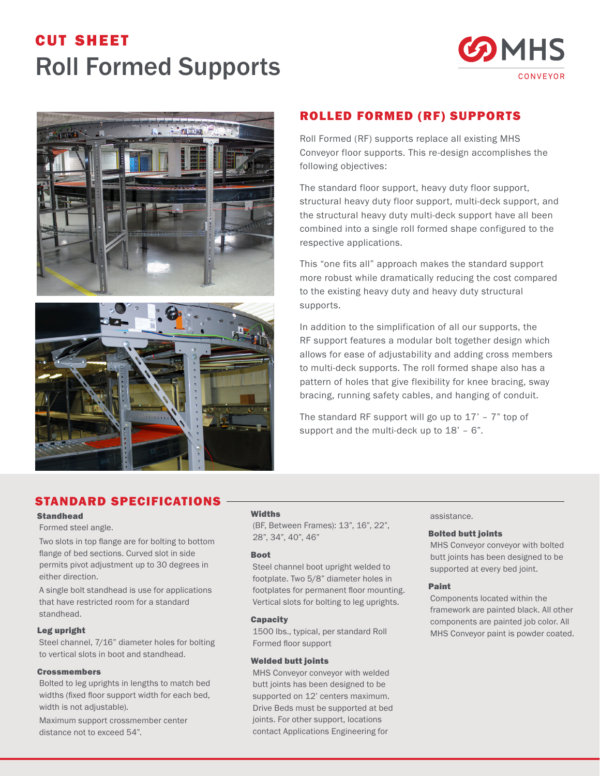# cut sheet Roll Formed Supports







## ROLLED FORMED (RF) SUPPORTS

Roll Formed (RF) supports replace all existing MHS Conveyor floor supports. This re-design accomplishes the following objectives:

The standard floor support, heavy duty floor support, structural heavy duty floor support, multi-deck support, and the structural heavy duty multi-deck support have all been combined into a single roll formed shape configured to the respective applications.

This "one fits all" approach makes the standard support more robust while dramatically reducing the cost compared to the existing heavy duty and heavy duty structural supports.

In addition to the simplification of all our supports, the RF support features a modular bolt together design which allows for ease of adjustability and adding cross members to multi-deck supports. The roll formed shape also has a pattern of holes that give flexibility for knee bracing, sway bracing, running safety cables, and hanging of conduit.

The standard RF support will go up to  $17'$  –  $7''$  top of support and the multi-deck up to 18' - 6".

# STANDARD SPECIFICATIONS

#### Standhead

#### Formed steel angle.

Two slots in top flange are for bolting to bottom flange of bed sections. Curved slot in side permits pivot adjustment up to 30 degrees in either direction.

A single bolt standhead is use for applications that have restricted room for a standard standhead.

#### Leg upright

Steel channel, 7/16" diameter holes for bolting to vertical slots in boot and standhead.

#### **Crossmembers**

Bolted to leg uprights in lengths to match bed widths (fixed floor support width for each bed, width is not adjustable).

Maximum support crossmember center distance not to exceed 54".

### **Widths**

(BF, Between Frames): 13", 16", 22", 28", 34", 40", 46"

#### Boot

Steel channel boot upright welded to footplate. Two 5/8" diameter holes in footplates for permanent floor mounting. Vertical slots for bolting to leg uprights.

#### **Capacity**

1500 lbs., typical, per standard Roll Formed floor support

#### Welded butt joints

MHS Conveyor conveyor with welded butt joints has been designed to be supported on 12' centers maximum. Drive Beds must be supported at bed joints. For other support, locations contact Applications Engineering for

## assistance.

#### Bolted butt joints

MHS Conveyor conveyor with bolted butt joints has been designed to be supported at every bed joint.

#### Paint

Components located within the framework are painted black. All other components are painted job color. All MHS Conveyor paint is powder coated.